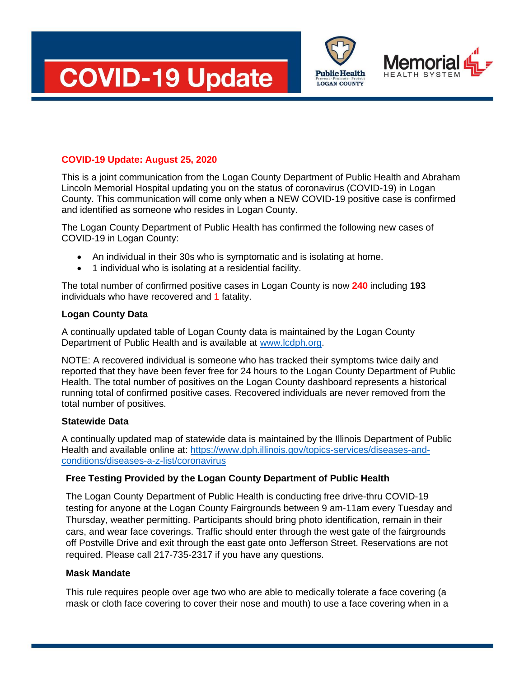



# **COVID-19 Update: August 25, 2020**

This is a joint communication from the Logan County Department of Public Health and Abraham Lincoln Memorial Hospital updating you on the status of coronavirus (COVID-19) in Logan County. This communication will come only when a NEW COVID-19 positive case is confirmed and identified as someone who resides in Logan County.

The Logan County Department of Public Health has confirmed the following new cases of COVID-19 in Logan County:

- An individual in their 30s who is symptomatic and is isolating at home.
- 1 individual who is isolating at a residential facility.

The total number of confirmed positive cases in Logan County is now **240** including **193** individuals who have recovered and 1 fatality.

### **Logan County Data**

A continually updated table of Logan County data is maintained by the Logan County Department of Public Health and is available at [www.lcdph.org.](http://www.lcdph.org/)

NOTE: A recovered individual is someone who has tracked their symptoms twice daily and reported that they have been fever free for 24 hours to the Logan County Department of Public Health. The total number of positives on the Logan County dashboard represents a historical running total of confirmed positive cases. Recovered individuals are never removed from the total number of positives.

### **Statewide Data**

A continually updated map of statewide data is maintained by the Illinois Department of Public Health and available online at: [https://www.dph.illinois.gov/topics-services/diseases-and](https://www.dph.illinois.gov/topics-services/diseases-and-conditions/diseases-a-z-list/coronavirus)[conditions/diseases-a-z-list/coronavirus](https://www.dph.illinois.gov/topics-services/diseases-and-conditions/diseases-a-z-list/coronavirus)

## **Free Testing Provided by the Logan County Department of Public Health**

The Logan County Department of Public Health is conducting free drive-thru COVID-19 testing for anyone at the Logan County Fairgrounds between 9 am-11am every Tuesday and Thursday, weather permitting. Participants should bring photo identification, remain in their cars, and wear face coverings. Traffic should enter through the west gate of the fairgrounds off Postville Drive and exit through the east gate onto Jefferson Street. Reservations are not required. Please call 217-735-2317 if you have any questions.

### **Mask Mandate**

This rule requires people over age two who are able to medically tolerate a face covering (a mask or cloth face covering to cover their nose and mouth) to use a face covering when in a